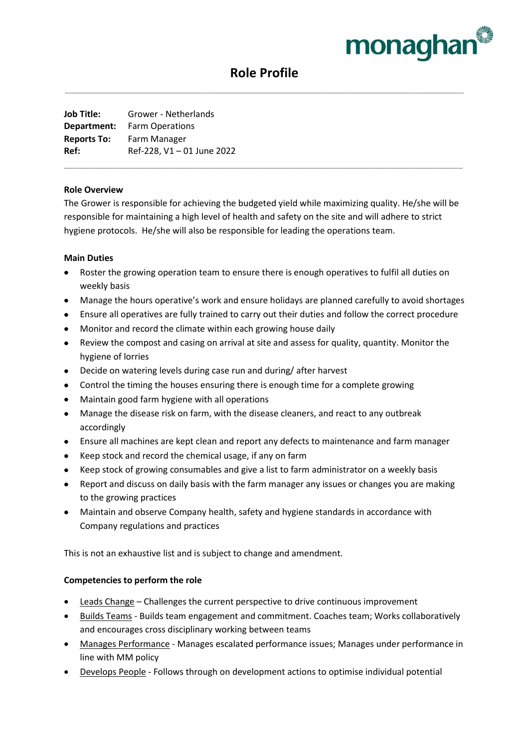

# **Role Profile** \_\_\_\_\_\_\_\_\_\_\_\_\_\_\_\_\_\_\_\_\_\_\_\_\_\_\_\_\_\_\_\_\_\_\_\_\_\_\_\_\_\_\_\_\_\_\_\_\_\_\_\_\_\_\_\_\_\_\_\_\_\_\_\_\_\_\_\_\_\_\_\_\_\_\_\_\_\_\_\_\_\_

**Job Title:** Grower - Netherlands **Department:** Farm Operations **Reports To:** Farm Manager **Ref:** Ref-228, V1 – 01 June 2022

#### **Role Overview**

The Grower is responsible for achieving the budgeted yield while maximizing quality. He/she will be responsible for maintaining a high level of health and safety on the site and will adhere to strict hygiene protocols. He/she will also be responsible for leading the operations team.

\_\_\_\_\_\_\_\_\_\_\_\_\_\_\_\_\_\_\_\_\_\_\_\_\_\_\_\_\_\_\_\_\_\_\_\_\_\_\_\_\_\_\_\_\_\_\_\_\_\_\_\_\_\_\_\_\_\_\_\_\_\_\_\_\_\_\_\_\_\_\_\_\_\_\_\_\_\_\_\_\_\_

#### **Main Duties**

- Roster the growing operation team to ensure there is enough operatives to fulfil all duties on weekly basis
- Manage the hours operative's work and ensure holidays are planned carefully to avoid shortages
- Ensure all operatives are fully trained to carry out their duties and follow the correct procedure
- Monitor and record the climate within each growing house daily
- Review the compost and casing on arrival at site and assess for quality, quantity. Monitor the hygiene of lorries
- Decide on watering levels during case run and during/ after harvest
- Control the timing the houses ensuring there is enough time for a complete growing
- Maintain good farm hygiene with all operations
- Manage the disease risk on farm, with the disease cleaners, and react to any outbreak accordingly
- Ensure all machines are kept clean and report any defects to maintenance and farm manager
- Keep stock and record the chemical usage, if any on farm
- Keep stock of growing consumables and give a list to farm administrator on a weekly basis
- Report and discuss on daily basis with the farm manager any issues or changes you are making to the growing practices
- Maintain and observe Company health, safety and hygiene standards in accordance with Company regulations and practices

This is not an exhaustive list and is subject to change and amendment.

#### **Competencies to perform the role**

- Leads Change Challenges the current perspective to drive continuous improvement
- Builds Teams Builds team engagement and commitment. Coaches team; Works collaboratively and encourages cross disciplinary working between teams
- Manages Performance Manages escalated performance issues; Manages under performance in line with MM policy
- Develops People Follows through on development actions to optimise individual potential